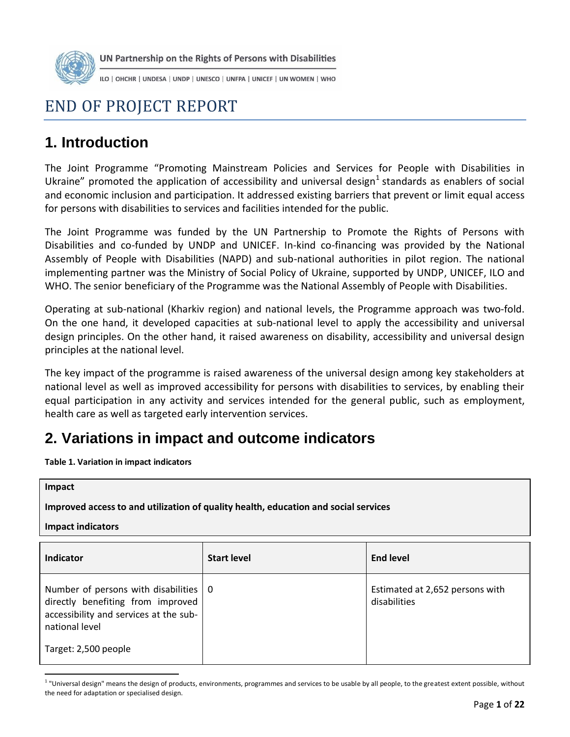

UN Partnership on the Rights of Persons with Disabilities

ILO | OHCHR | UNDESA | UNDP | UNESCO | UNFPA | UNICEF | UN WOMEN | WHO

# END OF PROJECT REPORT

# **1. Introduction**

The Joint Programme "Promoting Mainstream Policies and Services for People with Disabilities in Ukraine" promoted the application of accessibility and universal design<sup>1</sup> standards as enablers of social and economic inclusion and participation. It addressed existing barriers that prevent or limit equal access for persons with disabilities to services and facilities intended for the public.

The Joint Programme was funded by the UN Partnership to Promote the Rights of Persons with Disabilities and co-funded by UNDP and UNICEF. In-kind co-financing was provided by the National Assembly of People with Disabilities (NAPD) and sub-national authorities in pilot region. The national implementing partner was the Ministry of Social Policy of Ukraine, supported by UNDP, UNICEF, ILO and WHO. The senior beneficiary of the Programme was the National Assembly of People with Disabilities.

Operating at sub-national (Kharkiv region) and national levels, the Programme approach was two-fold. On the one hand, it developed capacities at sub-national level to apply the accessibility and universal design principles. On the other hand, it raised awareness on disability, accessibility and universal design principles at the national level.

The key impact of the programme is raised awareness of the universal design among key stakeholders at national level as well as improved accessibility for persons with disabilities to services, by enabling their equal participation in any activity and services intended for the general public, such as employment, health care as well as targeted early intervention services.

# **2. Variations in impact and outcome indicators**

**Table 1. Variation in impact indicators** 

 $\overline{a}$ 

| Impact<br>Improved access to and utilization of quality health, education and social services<br><b>Impact indicators</b>            |                    |                                                 |  |  |
|--------------------------------------------------------------------------------------------------------------------------------------|--------------------|-------------------------------------------------|--|--|
| Indicator                                                                                                                            | <b>Start level</b> | <b>End level</b>                                |  |  |
| Number of persons with disabilities<br>directly benefiting from improved<br>accessibility and services at the sub-<br>national level | - 0                | Estimated at 2,652 persons with<br>disabilities |  |  |
| Target: 2,500 people                                                                                                                 |                    |                                                 |  |  |

<sup>&</sup>lt;sup>1</sup> "Universal design" means the design of products, environments, programmes and services to be usable by all people, to the greatest extent possible, without the need for adaptation or specialised design.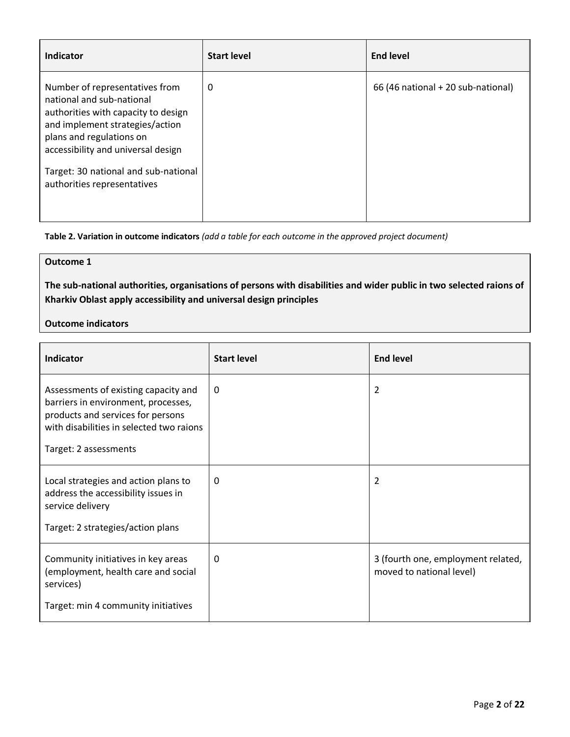| <b>Indicator</b>                                                                                                                                                                                                                                                               | <b>Start level</b> | <b>End level</b>                   |
|--------------------------------------------------------------------------------------------------------------------------------------------------------------------------------------------------------------------------------------------------------------------------------|--------------------|------------------------------------|
| Number of representatives from<br>national and sub-national<br>authorities with capacity to design<br>and implement strategies/action<br>plans and regulations on<br>accessibility and universal design<br>Target: 30 national and sub-national<br>authorities representatives | 0                  | 66 (46 national + 20 sub-national) |

**Table 2. Variation in outcome indicators** *(add a table for each outcome in the approved project document)* 

### **Outcome 1**

**The sub-national authorities, organisations of persons with disabilities and wider public in two selected raions of Kharkiv Oblast apply accessibility and universal design principles** 

#### **Outcome indicators**

| <b>Indicator</b>                                                                                                                                                                      | <b>Start level</b> | <b>End level</b>                                               |
|---------------------------------------------------------------------------------------------------------------------------------------------------------------------------------------|--------------------|----------------------------------------------------------------|
| Assessments of existing capacity and<br>barriers in environment, processes,<br>products and services for persons<br>with disabilities in selected two raions<br>Target: 2 assessments | $\theta$           | $\overline{2}$                                                 |
| Local strategies and action plans to<br>address the accessibility issues in<br>service delivery<br>Target: 2 strategies/action plans                                                  | $\theta$           | $\overline{2}$                                                 |
| Community initiatives in key areas<br>(employment, health care and social<br>services)<br>Target: min 4 community initiatives                                                         | $\Omega$           | 3 (fourth one, employment related,<br>moved to national level) |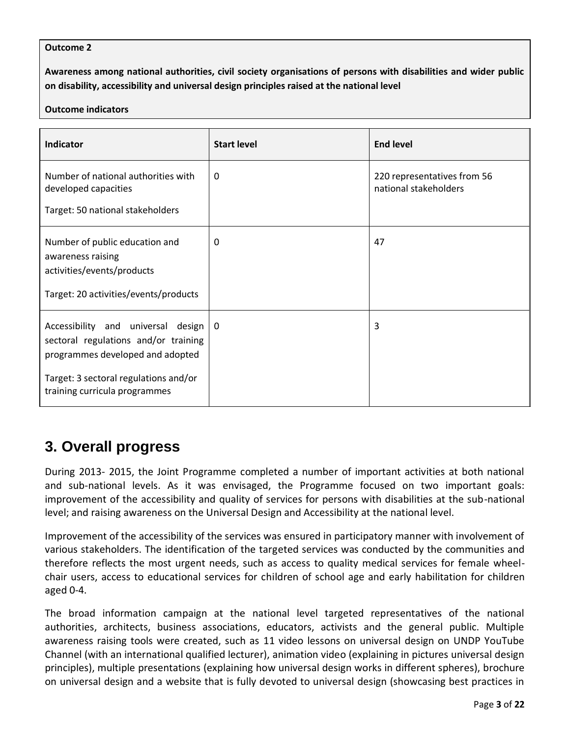#### **Outcome 2**

**Awareness among national authorities, civil society organisations of persons with disabilities and wider public on disability, accessibility and universal design principles raised at the national level** 

#### **Outcome indicators**

| Indicator                                                                                                                                                                                | <b>Start level</b> | <b>End level</b>                                     |
|------------------------------------------------------------------------------------------------------------------------------------------------------------------------------------------|--------------------|------------------------------------------------------|
| Number of national authorities with<br>developed capacities<br>Target: 50 national stakeholders                                                                                          | $\theta$           | 220 representatives from 56<br>national stakeholders |
| Number of public education and<br>awareness raising<br>activities/events/products<br>Target: 20 activities/events/products                                                               | 0                  | 47                                                   |
| Accessibility and universal design<br>sectoral regulations and/or training<br>programmes developed and adopted<br>Target: 3 sectoral regulations and/or<br>training curricula programmes | l 0                | 3                                                    |

# **3. Overall progress**

During 2013- 2015, the Joint Programme completed a number of important activities at both national and sub-national levels. As it was envisaged, the Programme focused on two important goals: improvement of the accessibility and quality of services for persons with disabilities at the sub-national level; and raising awareness on the Universal Design and Accessibility at the national level.

Improvement of the accessibility of the services was ensured in participatory manner with involvement of various stakeholders. The identification of the targeted services was conducted by the communities and therefore reflects the most urgent needs, such as access to quality medical services for female wheelchair users, access to educational services for children of school age and early habilitation for children aged 0-4.

The broad information campaign at the national level targeted representatives of the national authorities, architects, business associations, educators, activists and the general public. Multiple awareness raising tools were created, such as 11 video lessons on universal design on UNDP YouTube Channel (with an international qualified lecturer), animation video (explaining in pictures universal design principles), multiple presentations (explaining how universal design works in different spheres), brochure on universal design and a website that is fully devoted to universal design (showcasing best practices in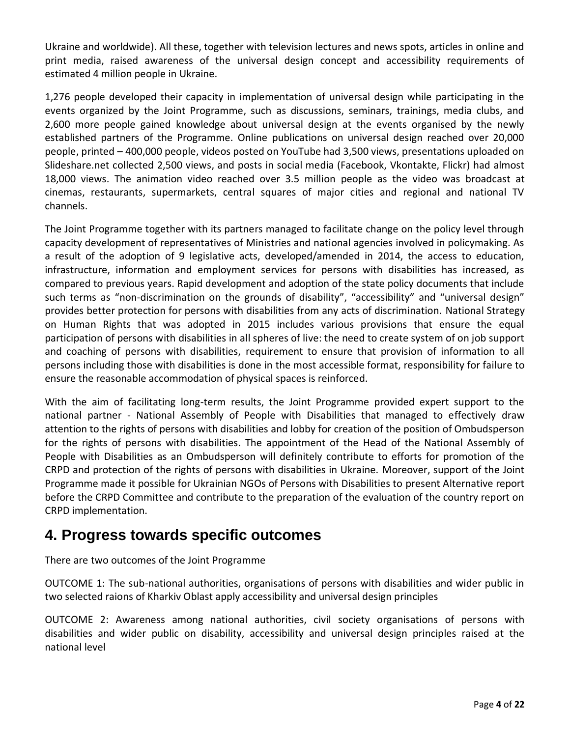Ukraine and worldwide). All these, together with television lectures and news spots, articles in online and print media, raised awareness of the universal design concept and accessibility requirements of estimated 4 million people in Ukraine.

1,276 people developed their capacity in implementation of universal design while participating in the events organized by the Joint Programme, such as discussions, seminars, trainings, media clubs, and 2,600 more people gained knowledge about universal design at the events organised by the newly established partners of the Programme. Online publications on universal design reached over 20,000 people, printed – 400,000 people, videos posted on YouTube had 3,500 views, presentations uploaded on Slideshare.net collected 2,500 views, and posts in social media (Facebook, Vkontakte, Flickr) had almost 18,000 views. The animation video reached over 3.5 million people as the video was broadcast at cinemas, restaurants, supermarkets, central squares of major cities and regional and national TV channels.

The Joint Programme together with its partners managed to facilitate change on the policy level through capacity development of representatives of Ministries and national agencies involved in policymaking. As a result of the adoption of 9 legislative acts, developed/amended in 2014, the access to education, infrastructure, information and employment services for persons with disabilities has increased, as compared to previous years. Rapid development and adoption of the state policy documents that include such terms as "non-discrimination on the grounds of disability", "accessibility" and "universal design" provides better protection for persons with disabilities from any acts of discrimination. National Strategy on Human Rights that was adopted in 2015 includes various provisions that ensure the equal participation of persons with disabilities in all spheres of live: the need to create system of on job support and coaching of persons with disabilities, requirement to ensure that provision of information to all persons including those with disabilities is done in the most accessible format, responsibility for failure to ensure the reasonable accommodation of physical spaces is reinforced.

With the aim of facilitating long-term results, the Joint Programme provided expert support to the national partner - National Assembly of People with Disabilities that managed to effectively draw attention to the rights of persons with disabilities and lobby for creation of the position of Ombudsperson for the rights of persons with disabilities. The appointment of the Head of the National Assembly of People with Disabilities as an Ombudsperson will definitely contribute to efforts for promotion of the CRPD and protection of the rights of persons with disabilities in Ukraine. Moreover, support of the Joint Programme made it possible for Ukrainian NGOs of Persons with Disabilities to present Alternative report before the CRPD Committee and contribute to the preparation of the evaluation of the country report on CRPD implementation.

## **4. Progress towards specific outcomes**

There are two outcomes of the Joint Programme

OUTCOME 1: The sub-national authorities, organisations of persons with disabilities and wider public in two selected raions of Kharkiv Oblast apply accessibility and universal design principles

OUTCOME 2: Awareness among national authorities, civil society organisations of persons with disabilities and wider public on disability, accessibility and universal design principles raised at the national level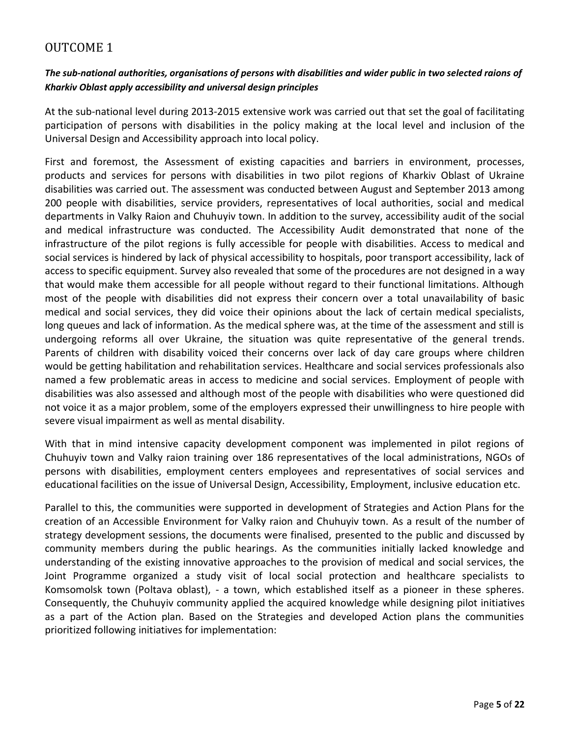## OUTCOME 1

### *The sub-national authorities, organisations of persons with disabilities and wider public in two selected raions of Kharkiv Oblast apply accessibility and universal design principles*

At the sub-national level during 2013-2015 extensive work was carried out that set the goal of facilitating participation of persons with disabilities in the policy making at the local level and inclusion of the Universal Design and Accessibility approach into local policy.

First and foremost, the Assessment of existing capacities and barriers in environment, processes, products and services for persons with disabilities in two pilot regions of Kharkiv Oblast of Ukraine disabilities was carried out. The assessment was conducted between August and September 2013 among 200 people with disabilities, service providers, representatives of local authorities, social and medical departments in Valky Raion and Chuhuyiv town. In addition to the survey, accessibility audit of the social and medical infrastructure was conducted. The Accessibility Audit demonstrated that none of the infrastructure of the pilot regions is fully accessible for people with disabilities. Access to medical and social services is hindered by lack of physical accessibility to hospitals, poor transport accessibility, lack of access to specific equipment. Survey also revealed that some of the procedures are not designed in a way that would make them accessible for all people without regard to their functional limitations. Although most of the people with disabilities did not express their concern over a total unavailability of basic medical and social services, they did voice their opinions about the lack of certain medical specialists, long queues and lack of information. As the medical sphere was, at the time of the assessment and still is undergoing reforms all over Ukraine, the situation was quite representative of the general trends. Parents of children with disability voiced their concerns over lack of day care groups where children would be getting habilitation and rehabilitation services. Healthcare and social services professionals also named a few problematic areas in access to medicine and social services. Employment of people with disabilities was also assessed and although most of the people with disabilities who were questioned did not voice it as a major problem, some of the employers expressed their unwillingness to hire people with severe visual impairment as well as mental disability.

With that in mind intensive capacity development component was implemented in pilot regions of Chuhuyiv town and Valky raion training over 186 representatives of the local administrations, NGOs of persons with disabilities, employment centers employees and representatives of social services and educational facilities on the issue of Universal Design, Accessibility, Employment, inclusive education etc.

Parallel to this, the communities were supported in development of Strategies and Action Plans for the creation of an Accessible Environment for Valky raion and Chuhuyiv town. As a result of the number of strategy development sessions, the documents were finalised, presented to the public and discussed by community members during the public hearings. As the communities initially lacked knowledge and understanding of the existing innovative approaches to the provision of medical and social services, the Joint Programme organized a study visit of local social protection and healthcare specialists to Komsomolsk town (Poltava oblast), - a town, which established itself as a pioneer in these spheres. Consequently, the Chuhuyiv community applied the acquired knowledge while designing pilot initiatives as a part of the Action plan. Based on the Strategies and developed Action plans the communities prioritized following initiatives for implementation: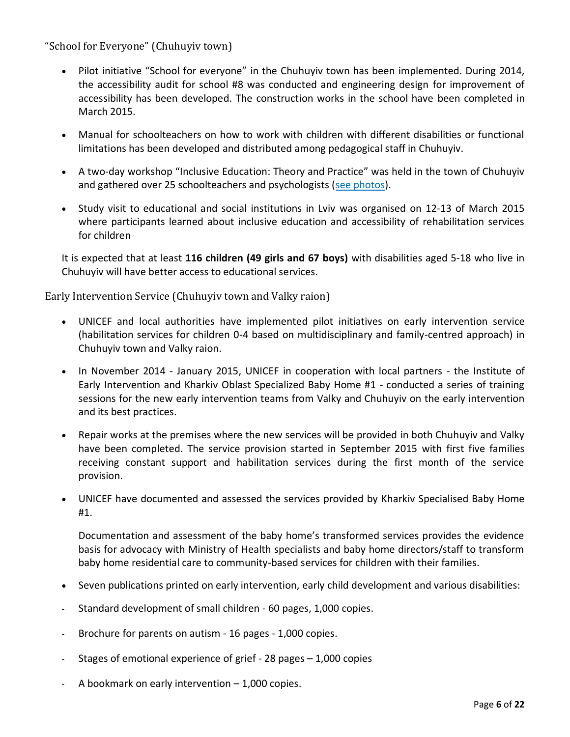"School for Everyone" (Chuhuyiv town)

- Pilot initiative "School for everyone" in the Chuhuyiv town has been implemented. During 2014, the accessibility audit for school #8 was conducted and engineering design for improvement of accessibility has been developed. The construction works in the school have been completed in March 2015.
- Manual for schoolteachers on how to work with children with different disabilities or functional limitations has been developed and distributed among pedagogical staff in Chuhuyiv.
- A two-day workshop "Inclusive Education: Theory and Practice" was held in the town of Chuhuyiv and gathered over 25 schoolteachers and psychologists [\(see photos\)](https://www.facebook.com/media/set/?set=a.864432040244471.1073741908.201794129841602&type=3).
- Study visit to educational and social institutions in Lviv was organised on 12-13 of March 2015 where participants learned about inclusive education and accessibility of rehabilitation services for children

It is expected that at least **116 children (49 girls and 67 boys)** with disabilities aged 5-18 who live in Chuhuyiv will have better access to educational services.

Early Intervention Service (Chuhuyiv town and Valky raion)

- UNICEF and local authorities have implemented pilot initiatives on early intervention service (habilitation services for children 0-4 based on multidisciplinary and family-centred approach) in Chuhuyiv town and Valky raion.
- In November 2014 January 2015, UNICEF in cooperation with local partners the Institute of Early Intervention and Kharkiv Oblast Specialized Baby Home #1 - conducted a series of training sessions for the new early intervention teams from Valky and Chuhuyiv on the early intervention and its best practices.
- Repair works at the premises where the new services will be provided in both Chuhuyiv and Valky have been completed. The service provision started in September 2015 with first five families receiving constant support and habilitation services during the first month of the service provision.
- UNICEF have documented and assessed the services provided by Kharkiv Specialised Baby Home #1.

Documentation and assessment of the baby home's transformed services provides the evidence basis for advocacy with Ministry of Health specialists and baby home directors/staff to transform baby home residential care to community-based services for children with their families.

- Seven publications printed on early intervention, early child development and various disabilities:
- Standard development of small children 60 pages, 1,000 copies.
- Brochure for parents on autism 16 pages 1,000 copies.
- Stages of emotional experience of grief 28 pages 1,000 copies
- A bookmark on early intervention 1,000 copies.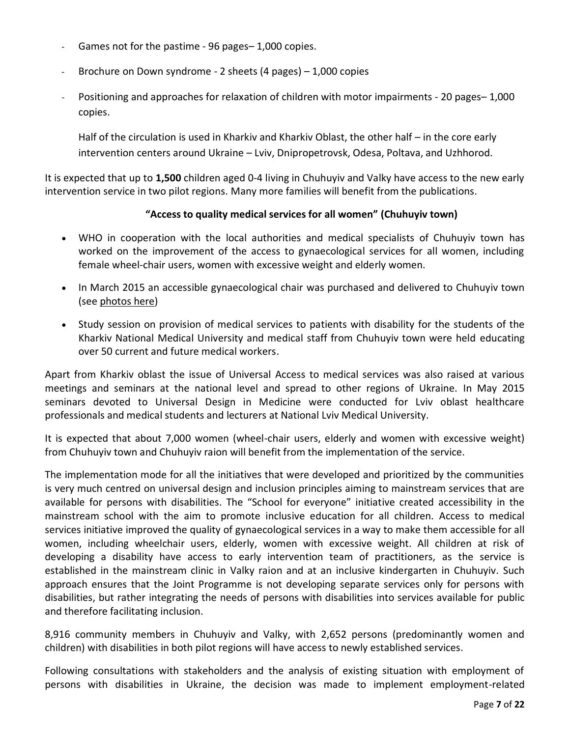- Games not for the pastime 96 pages– 1,000 copies.
- Brochure on Down syndrome 2 sheets (4 pages) 1,000 copies
- Positioning and approaches for relaxation of children with motor impairments 20 pages– 1,000 copies.

Half of the circulation is used in Kharkiv and Kharkiv Oblast, the other half – in the core early intervention centers around Ukraine – Lviv, Dnipropetrovsk, Odesa, Poltava, and Uzhhorod.

It is expected that up to **1,500** children aged 0-4 living in Chuhuyiv and Valky have access to the new early intervention service in two pilot regions. Many more families will benefit from the publications.

#### **"Access to quality medical services for all women" (Chuhuyiv town)**

- WHO in cooperation with the local authorities and medical specialists of Chuhuyiv town has worked on the improvement of the access to gynaecological services for all women, including female wheel-chair users, women with excessive weight and elderly women.
- In March 2015 an accessible gynaecological chair was purchased and delivered to Chuhuyiv town (see [photos here\)](https://www.facebook.com/UNDPUkraine/posts/973767052644302)
- Study session on provision of medical services to patients with disability for the students of the Kharkiv National Medical University and medical staff from Chuhuyiv town were held educating over 50 current and future medical workers.

Apart from Kharkiv oblast the issue of Universal Access to medical services was also raised at various meetings and seminars at the national level and spread to other regions of Ukraine. In May 2015 seminars devoted to Universal Design in Medicine were conducted for Lviv oblast healthcare professionals and medical students and lecturers at National Lviv Medical University.

It is expected that about 7,000 women (wheel-chair users, elderly and women with excessive weight) from Chuhuyiv town and Chuhuyiv raion will benefit from the implementation of the service.

The implementation mode for all the initiatives that were developed and prioritized by the communities is very much centred on universal design and inclusion principles aiming to mainstream services that are available for persons with disabilities. The "School for everyone" initiative created accessibility in the mainstream school with the aim to promote inclusive education for all children. Access to medical services initiative improved the quality of gynaecological services in a way to make them accessible for all women, including wheelchair users, elderly, women with excessive weight. All children at risk of developing a disability have access to early intervention team of practitioners, as the service is established in the mainstream clinic in Valky raion and at an inclusive kindergarten in Chuhuyiv. Such approach ensures that the Joint Programme is not developing separate services only for persons with disabilities, but rather integrating the needs of persons with disabilities into services available for public and therefore facilitating inclusion.

8,916 community members in Chuhuyiv and Valky, with 2,652 persons (predominantly women and children) with disabilities in both pilot regions will have access to newly established services.

Following consultations with stakeholders and the analysis of existing situation with employment of persons with disabilities in Ukraine, the decision was made to implement employment-related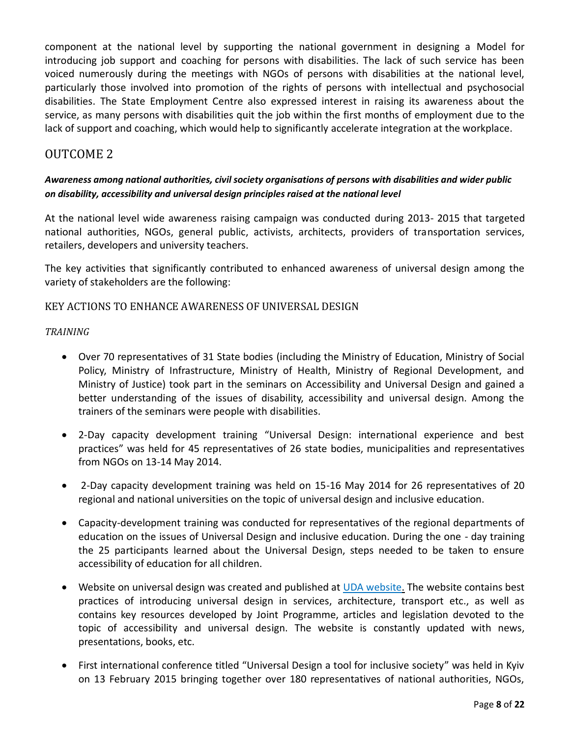component at the national level by supporting the national government in designing a Model for introducing job support and coaching for persons with disabilities. The lack of such service has been voiced numerously during the meetings with NGOs of persons with disabilities at the national level, particularly those involved into promotion of the rights of persons with intellectual and psychosocial disabilities. The State Employment Centre also expressed interest in raising its awareness about the service, as many persons with disabilities quit the job within the first months of employment due to the lack of support and coaching, which would help to significantly accelerate integration at the workplace.

### OUTCOME 2

### *Awareness among national authorities, civil society organisations of persons with disabilities and wider public on disability, accessibility and universal design principles raised at the national level*

At the national level wide awareness raising campaign was conducted during 2013- 2015 that targeted national authorities, NGOs, general public, activists, architects, providers of transportation services, retailers, developers and university teachers.

The key activities that significantly contributed to enhanced awareness of universal design among the variety of stakeholders are the following:

#### KEY ACTIONS TO ENHANCE AWARENESS OF UNIVERSAL DESIGN

*TRAINING* 

- Over 70 representatives of 31 State bodies (including the Ministry of Education, Ministry of Social Policy, Ministry of Infrastructure, Ministry of Health, Ministry of Regional Development, and Ministry of Justice) took part in the seminars on Accessibility and Universal Design and gained a better understanding of the issues of disability, accessibility and universal design. Among the trainers of the seminars were people with disabilities.
- 2-Day capacity development training "Universal Design: international experience and best practices" was held for 45 representatives of 26 state bodies, municipalities and representatives from NGOs on 13-14 May 2014.
- 2-Day capacity development training was held on 15-16 May 2014 for 26 representatives of 20 regional and national universities on the topic of universal design and inclusive education.
- Capacity-development training was conducted for representatives of the regional departments of education on the issues of Universal Design and inclusive education. During the one - day training the 25 participants learned about the Universal Design, steps needed to be taken to ensure accessibility of education for all children.
- Website on universal design was created and published at [UDA website.](http://www.ud.org.ua/) The website contains best practices of introducing universal design in services, architecture, transport etc., as well as contains key resources developed by Joint Programme, articles and legislation devoted to the topic of accessibility and universal design. The website is constantly updated with news, presentations, books, etc.
- First international conference titled "Universal Design a tool for inclusive society" was held in Kyiv on 13 February 2015 bringing together over 180 representatives of national authorities, NGOs,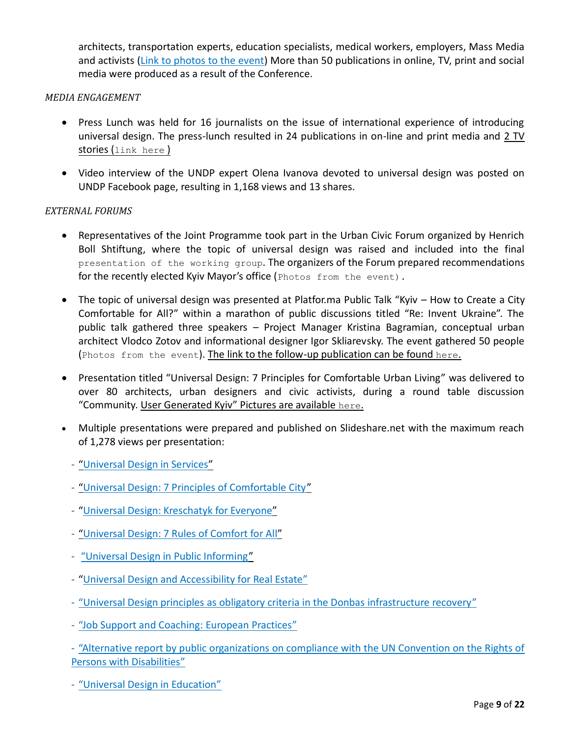architects, transportation experts, education specialists, medical workers, employers, Mass Media and activists [\(Link to photos to the event\)](https://www.facebook.com/media/set/?set=a.921081587912849.1073741971.201794129841602&type=3) More than 50 publications in online, TV, print and social media were produced as a result of the Conference.

#### *MEDIA ENGAGEMENT*

- Press Lunch was held for 16 journalists on the issue of international experience of introducing universal design. The press-lunch resulted in 24 publications in on-line and print media and [2 TV](http://www.ua.undp.org/content/ukraine/en/home/presscenter/articles/2014/05/14/universal-design-world-s-best-practices-will-help-ukraine-to-become-more-inclusive-/)  stories ([link here](http://www.ua.undp.org/content/ukraine/en/home/presscenter/articles/2014/05/14/universal-design-world-s-best-practices-will-help-ukraine-to-become-more-inclusive-/) )
- Video interview of the UNDP expert Olena Ivanova devoted to universal design was posted on UNDP Facebook page, resulting in 1,168 views and 13 shares.

#### *EXTERNAL FORUMS*

- Representatives of the Joint Programme took part in the Urban Civic Forum organized by Henrich Boll Shtiftung, where the topic of universal design was raised and included into the final [presentation of the working group](http://ua.boell.org/uk/2014/06/26/urbanistichniy-gromadskiy-forum-poryadok-denniy-dlya-novoyi-vladi-v-kiievi-zavdannya-ta). The organizers of the Forum prepared recommendations for the recently elected Kyiv Mayor's office ([Photos from the event\)](https://www.facebook.com/UNDPUkraine/posts/787082757979400).
- The topic of universal design was presented at Platfor.ma Public Talk "Kyiv How to Create a City Comfortable for All?" within a marathon of public discussions titled "Re: Invent Ukraine". The public talk gathered three speakers – Project Manager Kristina Bagramian, conceptual urban architect Vlodco Zotov and informational designer Igor Skliarevsky. The event gathered 50 people ([Photos from the event](https://www.facebook.com/UNDPUkraine/posts/779817652039244)). The link to the follow-[up publication can be found](http://reinvent.platfor.ma/vtroem-po-gorodu/) here.
- Presentation titled "Universal Design: 7 Principles for Comfortable Urban Living" was delivered to over 80 architects, urban designers and civic activists, during a round table discussion "Community. User Generated Kyiv" [Pictures are available](https://www.facebook.com/UNDPUkraine/posts/10152018779394856) here.
- Multiple presentations were prepared and published on Slideshare.net with the maximum reach of 1,278 views per presentation:
	- ["Universal Design in Services"](http://www.slideshare.net/undpukraine/ss-36623110)
	- "Universal Design: 7 Principles of Comfortable City"
	- ["Universal Design: Kreschatyk for Everyone"](http://www.slideshare.net/undpukraine/ss-40685673)
	- ["Universal Design: 7 Rules of Comfort for All"](http://www.slideshare.net/undpukraine/universal-design-7-principles-pres)
	- ["Universal Design in Public Informing"](http://www.slideshare.net/undpukraine/ss-42939528)
	- "[Universal Design and Accessibility for Real Estate"](http://www.slideshare.net/undpukraine/ss-39520867)
	- ["Universal Design principles as obligatory criteria in the Donbas infrastructure recovery"](http://www.slideshare.net/undpukraine/undp-presentation-ure-club-ceo-conference-oi)
	- ["Job Support and Coaching: European Practices](http://www.slideshare.net/undpukraine/job-support-and-coaching-for-people-with-disabilities-european-practices-44297453)"

- ["Alternative report by public organizations on compliance with the UN Convention on the Rights of](http://www.slideshare.net/undpukraine/alternative-report-ukraine)  [Persons with Disabilities](http://www.slideshare.net/undpukraine/alternative-report-ukraine)"

- "[Universal Design in Education"](http://www.slideshare.net/undpukraine/2-46818035)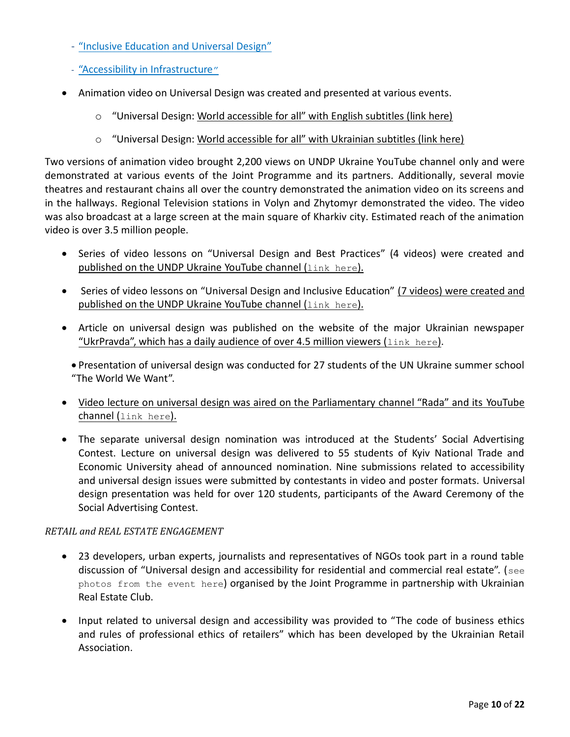- ["Inclusive Education and Universal Design"](http://www.slideshare.net/undpukraine/ss-46816070)
- ["Accessibility in Infrastructure](http://www.slideshare.net/undpukraine/ss-46979374)"
- Animation video on Universal Design was created and presented at various events.
	- $\circ$  "Universal Design: World accessible for all" with English subtitles (link here)
	- $\circ$  "Universal Design: World accessible for all" with Ukrainian subtitles (link here)

Two versions of animation video brought 2,200 views on UNDP Ukraine YouTube channel only and were demonstrated at various events of the Joint Programme and its partners. Additionally, several movie theatres and restaurant chains all over the country demonstrated the animation video on its screens and in the hallways. Regional Television stations in Volyn and Zhytomyr demonstrated the video. The video was also broadcast at a large screen at the main square of Kharkiv city. Estimated reach of the animation video is over 3.5 million people.

- Series of video lessons on "Universal Design and Best Practices" (4 videos) were created and [published on the UNDP Ukraine YouTube channel \(](https://www.youtube.com/playlist?list=PL0-qYICkWMvdb-NHKrXfc2NjRTosESZ6i)link here).
- Series of video lessons on "Universal Design and Inclusive Education" [\(7 videos\) were created and](https://www.youtube.com/playlist?list=PL0-qYICkWMvfHVhnlPOiElx1txPuj_DHh)  [published on the UNDP Ukraine YouTube channel \(](https://www.youtube.com/playlist?list=PL0-qYICkWMvfHVhnlPOiElx1txPuj_DHh)link here).
- Article on universal design was published on the website of the major Ukrainian newspaper ["UkrPravda", which has a daily audience of over 4.5 million viewers \(](http://life.pravda.com.ua/columns/2014/08/21/178384/) $\text{link}$  here).
	- Presentation of universal design was conducted for 27 students of the UN Ukraine summer school "The World We Want".
- [Video lecture on universal design was aired on the Parliamentary channel "Rada" and its YouTube](https://www.youtube.com/watch?v=R-K8V3V_mIM&list=UU5V8mErVFOpcQXEb3y9IMZw) channel ([link here](https://www.youtube.com/watch?v=R-K8V3V_mIM&list=UU5V8mErVFOpcQXEb3y9IMZw)).
- The separate universal design nomination was introduced at the Students' Social Advertising Contest. Lecture on universal design was delivered to 55 students of Kyiv National Trade and Economic University ahead of announced nomination. Nine submissions related to accessibility and universal design issues were submitted by contestants in video and poster formats. Universal design presentation was held for over 120 students, participants of the Award Ceremony of the Social Advertising Contest.

### *RETAIL and REAL ESTATE ENGAGEMENT*

- 23 developers, urban experts, journalists and representatives of NGOs took part in a round table discussion of "Universal design and accessibility for residential and commercial real estate". ([see](https://www.facebook.com/media/set/?set=a.843414922346183.1073741887.201794129841602)  [photos from the event here](https://www.facebook.com/media/set/?set=a.843414922346183.1073741887.201794129841602)) organised by the Joint Programme in partnership with Ukrainian Real Estate Club.
- Input related to universal design and accessibility was provided to "The code of business ethics and rules of professional ethics of retailers" which has been developed by the Ukrainian Retail Association.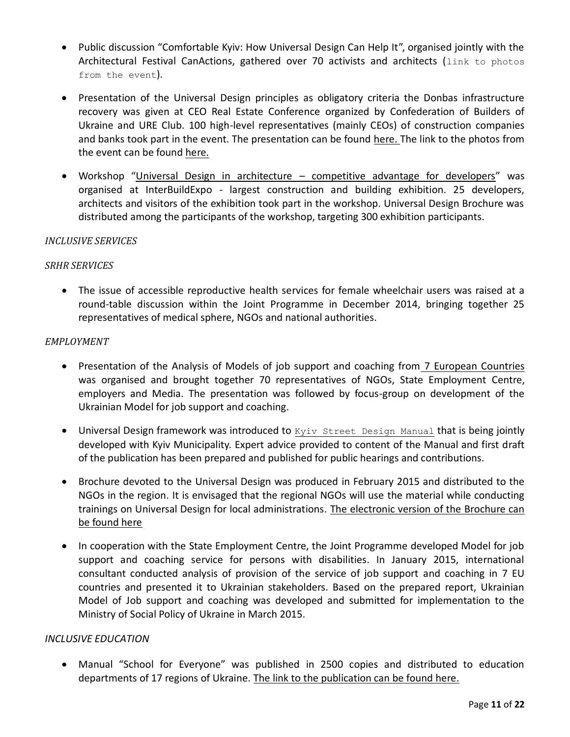- Public discussion "Comfortable Kyiv: How Universal Design Can Help It", organised jointly with the Architectural Festival CanActions, gathered over 70 activists and architects (link to photos [from the event](https://www.facebook.com/UNDPUkraine/posts/871872392833769)).
- Presentation of the Universal Design principles as obligatory criteria the Donbas infrastructure recovery was given at CEO Real Estate Conference organized by Confederation of Builders of Ukraine and URE Club. 100 high-level representatives (mainly CEOs) of construction companies and banks took part in the event. The presentation can be found [here.](http://www.slideshare.net/undpukraine/undp-presentation-ure-club-ceo-conference-oi) The link to the photos from the event can be found [here.](https://www.facebook.com/media/set/?set=a.831309686936798.1073741860.183864038348036&type=3)
- Workshop "Universal Design in architecture competitive advantage for developers" was organised at InterBuildExpo - largest construction and building exhibition. 25 developers, architects and visitors of the exhibition took part in the workshop. Universal Design Brochure was distributed among the participants of the workshop, targeting 300 exhibition participants.

#### *INCLUSIVE SERVICES*

#### *SRHR SERVICES*

 The issue of accessible reproductive health services for female wheelchair users was raised at a round-table discussion within the Joint Programme in December 2014, bringing together 25 representatives of medical sphere, NGOs and national authorities.

#### *EMPLOYMENT*

- Presentation of the Analysis of Models of job support and coaching from [7 European Countries](http://www.slideshare.net/undpukraine/job-support-and-coaching-for-people-with-disabilities-european-practices-44297453) was organised and brought together 70 representatives of NGOs, State Employment Centre, employers and Media. The presentation was followed by focus-group on development of the Ukrainian Model for job support and coaching.
- Universal Design framework was introduced to [Kyiv Street Design Manual](http://kga.gov.ua/vporyadkuvannya-zovnishnoji-reklami) that is being jointly developed with Kyiv Municipality. Expert advice provided to content of the Manual and first draft of the publication has been prepared and published for public hearings and contributions.
- Brochure devoted to the Universal Design was produced in February 2015 and distributed to the NGOs in the region. It is envisaged that the regional NGOs will use the material while conducting trainings on Universal Design for local administrations. [The electronic version of the Brochure can](http://ud.org.ua/images/news/UniDesign_Web.pdf)  [be found here](http://ud.org.ua/images/news/UniDesign_Web.pdf)
- In cooperation with the State Employment Centre, the Joint Programme developed Model for job support and coaching service for persons with disabilities. In January 2015, international consultant conducted analysis of provision of the service of job support and coaching in 7 EU countries and presented it to Ukrainian stakeholders. Based on the prepared report, Ukrainian Model of Job support and coaching was developed and submitted for implementation to the Ministry of Social Policy of Ukraine in March 2015.

#### *INCLUSIVE EDUCATION*

 Manual "School for Everyone" was published in 2500 copies and distributed to education departments of 17 regions of Ukraine. [The link to the publication can be found here.](http://www.slideshare.net/undpukraine/ss-46728784)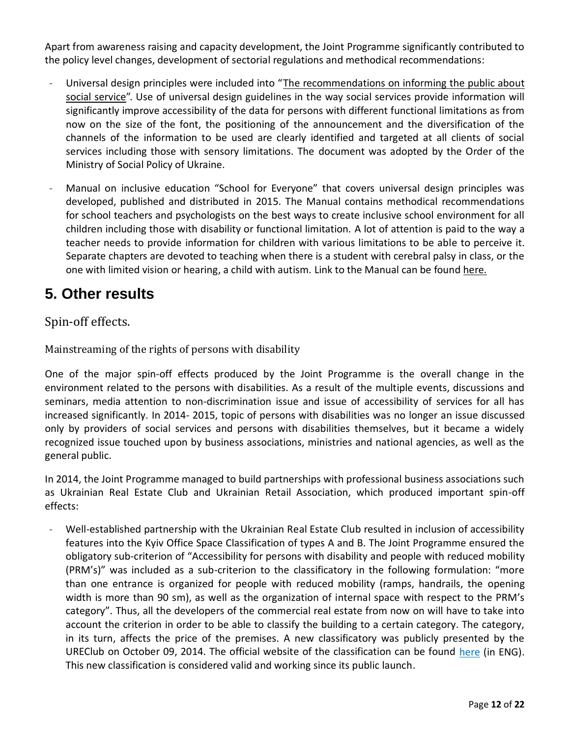Apart from awareness raising and capacity development, the Joint Programme significantly contributed to the policy level changes, development of sectorial regulations and methodical recommendations:

- Universal design principles were included into ["The recommendations on informing the public about](http://www.mlsp.gov.ua/labour/control/uk/publish/article;jsessionid=2489E7A62BBAC21CFB0053BE2DA8C91C.app1?art_id=168148&cat_id=161043) [social service"](http://www.mlsp.gov.ua/labour/control/uk/publish/article;jsessionid=2489E7A62BBAC21CFB0053BE2DA8C91C.app1?art_id=168148&cat_id=161043). Use of universal design guidelines in the way social services provide information will significantly improve accessibility of the data for persons with different functional limitations as from now on the size of the font, the positioning of the announcement and the diversification of the channels of the information to be used are clearly identified and targeted at all clients of social services including those with sensory limitations. The document was adopted by the Order of the Ministry of Social Policy of Ukraine.
- Manual on inclusive education "School for Everyone" that covers universal design principles was developed, published and distributed in 2015. The Manual contains methodical recommendations for school teachers and psychologists on the best ways to create inclusive school environment for all children including those with disability or functional limitation. A lot of attention is paid to the way a teacher needs to provide information for children with various limitations to be able to perceive it. Separate chapters are devoted to teaching when there is a student with cerebral palsy in class, or the one with limited vision or hearing, a child with autism. Link to the Manual can be found [here.](http://www.slideshare.net/undpukraine/ss-46728784)

# **5. Other results**

## Spin-off effects.

Mainstreaming of the rights of persons with disability

One of the major spin-off effects produced by the Joint Programme is the overall change in the environment related to the persons with disabilities. As a result of the multiple events, discussions and seminars, media attention to non-discrimination issue and issue of accessibility of services for all has increased significantly. In 2014- 2015, topic of persons with disabilities was no longer an issue discussed only by providers of social services and persons with disabilities themselves, but it became a widely recognized issue touched upon by business associations, ministries and national agencies, as well as the general public.

In 2014, the Joint Programme managed to build partnerships with professional business associations such as Ukrainian Real Estate Club and Ukrainian Retail Association, which produced important spin-off effects:

- Well-established partnership with the Ukrainian Real Estate Club resulted in inclusion of accessibility features into the Kyiv Office Space Classification of types A and B. The Joint Programme ensured the obligatory sub-criterion of "Accessibility for persons with disability and people with reduced mobility (PRM's)" was included as a sub-criterion to the classificatory in the following formulation: "more than one entrance is organized for people with reduced mobility (ramps, handrails, the opening width is more than 90 sm), as well as the organization of internal space with respect to the PRM's category". Thus, all the developers of the commercial real estate from now on will have to take into account the criterion in order to be able to classify the building to a certain category. The category, in its turn, affects the price of the premises. A new classificatory was publicly presented by the UREClub on October 09, 2014. The official website of the classification can be found [here](http://officeclass.com.ua/classification-en/architectural-features) (in ENG). This new classification is considered valid and working since its public launch.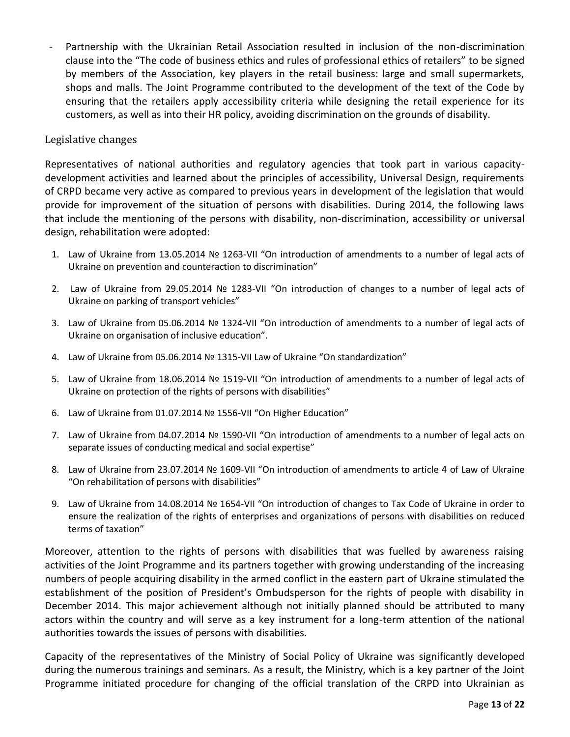Partnership with the Ukrainian Retail Association resulted in inclusion of the non-discrimination clause into the "The code of business ethics and rules of professional ethics of retailers" to be signed by members of the Association, key players in the retail business: large and small supermarkets, shops and malls. The Joint Programme contributed to the development of the text of the Code by ensuring that the retailers apply accessibility criteria while designing the retail experience for its customers, as well as into their HR policy, avoiding discrimination on the grounds of disability.

#### Legislative changes

Representatives of national authorities and regulatory agencies that took part in various capacitydevelopment activities and learned about the principles of accessibility, Universal Design, requirements of CRPD became very active as compared to previous years in development of the legislation that would provide for improvement of the situation of persons with disabilities. During 2014, the following laws that include the mentioning of the persons with disability, non-discrimination, accessibility or universal design, rehabilitation were adopted:

- 1. Law of Ukraine from 13.05.2014 № 1263-VII "On introduction of amendments to a number of legal acts of Ukraine on prevention and counteraction to discrimination"
- 2. Law of Ukraine from 29.05.2014 № 1283-VII "On introduction of changes to a number of legal acts of Ukraine on parking of transport vehicles"
- 3. Law of Ukraine from 05.06.2014 № 1324-VII "On introduction of amendments to a number of legal acts of Ukraine on organisation of inclusive education".
- 4. Law of Ukraine from 05.06.2014 № 1315-VII Law of Ukraine "On standardization"
- 5. Law of Ukraine from 18.06.2014 № 1519-VII "On introduction of amendments to a number of legal acts of Ukraine on protection of the rights of persons with disabilities"
- 6. Law of Ukraine from 01.07.2014 № 1556-VII "On Higher Education"
- 7. Law of Ukraine from 04.07.2014 № 1590-VII "On introduction of amendments to a number of legal acts on separate issues of conducting medical and social expertise"
- 8. Law of Ukraine from 23.07.2014 № 1609-VII "On introduction of amendments to article 4 of Law of Ukraine "On rehabilitation of persons with disabilities"
- 9. Law of Ukraine from 14.08.2014 № 1654-VII "On introduction of changes to Tax Code of Ukraine in order to ensure the realization of the rights of enterprises and organizations of persons with disabilities on reduced terms of taxation"

Moreover, attention to the rights of persons with disabilities that was fuelled by awareness raising activities of the Joint Programme and its partners together with growing understanding of the increasing numbers of people acquiring disability in the armed conflict in the eastern part of Ukraine stimulated the establishment of the position of President's Ombudsperson for the rights of people with disability in December 2014. This major achievement although not initially planned should be attributed to many actors within the country and will serve as a key instrument for a long-term attention of the national authorities towards the issues of persons with disabilities.

Capacity of the representatives of the Ministry of Social Policy of Ukraine was significantly developed during the numerous trainings and seminars. As a result, the Ministry, which is a key partner of the Joint Programme initiated procedure for changing of the official translation of the CRPD into Ukrainian as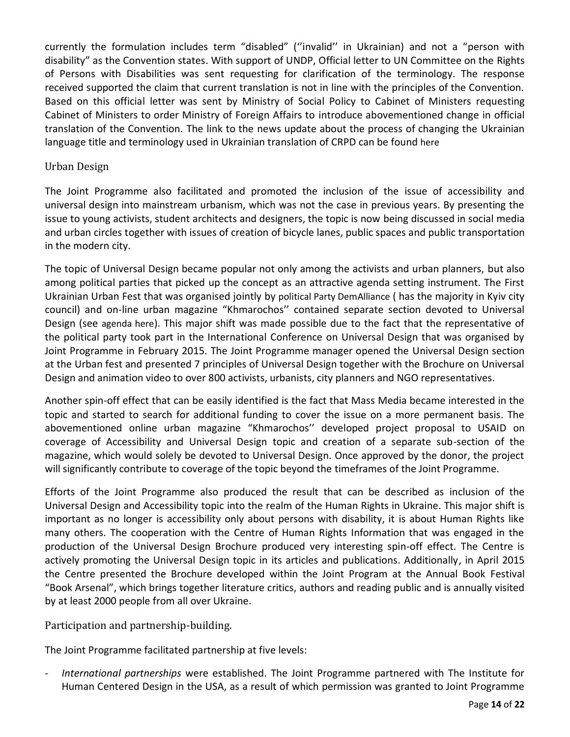currently the formulation includes term "disabled" (''invalid'' in Ukrainian) and not a "person with disability" as the Convention states. With support of UNDP, Official letter to UN Committee on the Rights of Persons with Disabilities was sent requesting for clarification of the terminology. The response received supported the claim that current translation is not in line with the principles of the Convention. Based on this official letter was sent by Ministry of Social Policy to Cabinet of Ministers requesting Cabinet of Ministers to order Ministry of Foreign Affairs to introduce abovementioned change in official translation of the Convention. The link to the news update about the process of changing the Ukrainian language title and terminology used in Ukrainian translation of CRPD can be found [here](http://ud.org.ua/novini-ta-podiji/199-ministerstvo-sotsialnoji-politiki-ukrajini-initsiyue-vnesennya-zmin-do-ukrajinomovnogo-perekladu-konventsiji-oon-pro-prava-invalidiv)

#### Urban Design

The Joint Programme also facilitated and promoted the inclusion of the issue of accessibility and universal design into mainstream urbanism, which was not the case in previous years. By presenting the issue to young activists, student architects and designers, the topic is now being discussed in social media and urban circles together with issues of creation of bicycle lanes, public spaces and public transportation in the modern city.

The topic of Universal Design became popular not only among the activists and urban planners, but also among political parties that picked up the concept as an attractive agenda setting instrument. The First Ukrainian Urban Fest that was organised jointly by [political Party DemAlliance](http://dem-alliance.org/news/pershii-kiivskii-urban-fest-vidbuvsja.html) ( has the majority in Kyiv city council) and on-line urban magazine "Khmarochos'' contained separate section devoted to Universal Design (see [agenda here](http://kuf.hmarochos.kiev.ua/)). This major shift was made possible due to the fact that the representative of the political party took part in the International Conference on Universal Design that was organised by Joint Programme in February 2015. The Joint Programme manager opened the Universal Design section at the Urban fest and presented 7 principles of Universal Design together with the Brochure on Universal Design and animation video to over 800 activists, urbanists, city planners and NGO representatives.

Another spin-off effect that can be easily identified is the fact that Mass Media became interested in the topic and started to search for additional funding to cover the issue on a more permanent basis. The abovementioned online urban magazine "Khmarochos'' developed project proposal to USAID on coverage of Accessibility and Universal Design topic and creation of a separate sub-section of the magazine, which would solely be devoted to Universal Design. Once approved by the donor, the project will significantly contribute to coverage of the topic beyond the timeframes of the Joint Programme.

Efforts of the Joint Programme also produced the result that can be described as inclusion of the Universal Design and Accessibility topic into the realm of the Human Rights in Ukraine. This major shift is important as no longer is accessibility only about persons with disability, it is about Human Rights like many others. The cooperation with the Centre of Human Rights Information that was engaged in the production of the Universal Design Brochure produced very interesting spin-off effect. The Centre is actively promoting the Universal Design topic in its articles and publications. Additionally, in April 2015 the Centre presented the Brochure developed within the Joint Program at the Annual Book Festival "Book Arsenal", which brings together literature critics, authors and reading public and is annually visited by at least 2000 people from all over Ukraine.

Participation and partnership-building.

The Joint Programme facilitated partnership at five levels:

- *International partnerships* were established. The Joint Programme partnered with The Institute for Human Centered Design in the USA, as a result of which permission was granted to Joint Programme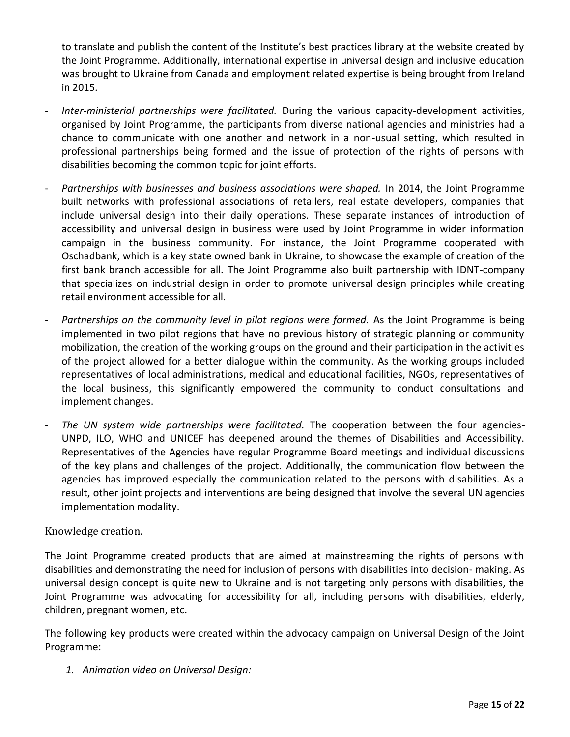to translate and publish the content of the Institute's best practices library at the website created by the Joint Programme. Additionally, international expertise in universal design and inclusive education was brought to Ukraine from Canada and employment related expertise is being brought from Ireland in 2015.

- *Inter-ministerial partnerships were facilitated.* During the various capacity-development activities, organised by Joint Programme, the participants from diverse national agencies and ministries had a chance to communicate with one another and network in a non-usual setting, which resulted in professional partnerships being formed and the issue of protection of the rights of persons with disabilities becoming the common topic for joint efforts.
- *Partnerships with businesses and business associations were shaped.* In 2014, the Joint Programme built networks with professional associations of retailers, real estate developers, companies that include universal design into their daily operations. These separate instances of introduction of accessibility and universal design in business were used by Joint Programme in wider information campaign in the business community. For instance, the Joint Programme cooperated with Oschadbank, which is a key state owned bank in Ukraine, to showcase the example of creation of the first bank branch accessible for all. The Joint Programme also built partnership with IDNT-company that specializes on industrial design in order to promote universal design principles while creating retail environment accessible for all.
- Partnerships on the community level in pilot regions were formed. As the Joint Programme is being implemented in two pilot regions that have no previous history of strategic planning or communit y mobilization, the creation of the working groups on the ground and their participation in the activitie s of the project allowed for a better dialogue within the community. As the working groups include d representatives of local administrations, medical and educational facilities, NGOs, representatives o f the local business, this significantly empowered the community to conduct consultations an d implement changes.
- *The UN system wide partnerships were facilitated.* The cooperation between the four agencies-UNPD, ILO, WHO and UNICEF has deepened around the themes of Disabilities and Accessibility. Representatives of the Agencies have regular Programme Board meetings and individual discussions of the key plans and challenges of the project. Additionally, the communication flow between the agencies has improved especially the communication related to the persons with disabilities. As a result, other joint projects and interventions are being designed that involve the several UN agencies implementation modality.

### Knowledge creation.

The Joint Programme created products that are aimed at mainstreaming the rights of persons with disabilities and demonstrating the need for inclusion of persons with disabilities into decision- making. As universal design concept is quite new to Ukraine and is not targeting only persons with disabilities, the Joint Programme was advocating for accessibility for all, including persons with disabilities, elderly, children, pregnant women, etc.

The following key products were created within the advocacy campaign on Universal Design of the Joint Programme:

*1. Animation video on Universal Design:*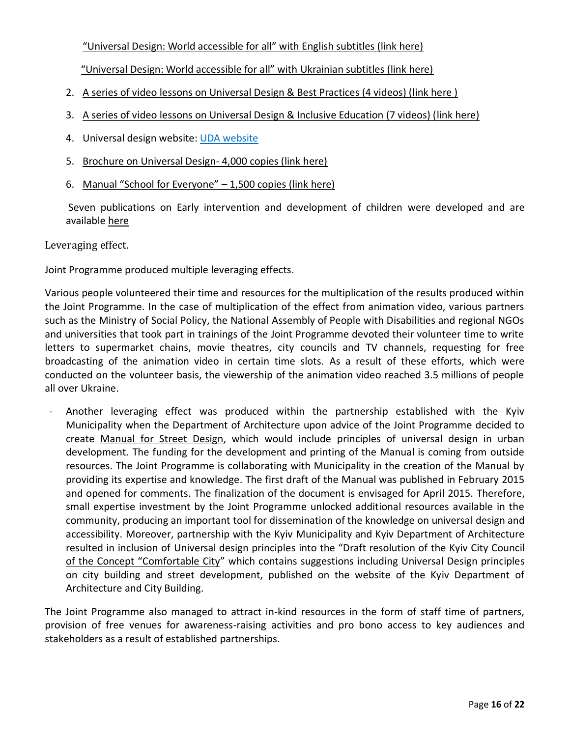["Universal Design: World accessible for all" with English subtitles \(link here\)](http://www.youtube.com/watch?v=u7tw-b5Bxy4&list=UUH-PUvySXv5CTTMJT2EPmTw)

 ["Universal Design: World accessible for all" with Ukrainian subtitles \(link here\)](http://www.youtube.com/watch?v=aC9MTMCYHHA&list=UUH-PUvySXv5CTTMJT2EPmTw) 

- 2. [A series of video lessons on Universal Design & Best Practices \(4 videos\) \(link here \)](https://www.youtube.com/playlist?list=PL0-qYICkWMvdb-NHKrXfc2NjRTosESZ6i)
- 3. [A series of video lessons on Universal Design & Inclusive Education \(7 videos\) \(link here\)](https://www.youtube.com/playlist?list=PL0-qYICkWMvfHVhnlPOiElx1txPuj_DHh)
- 4. Universal design website: [UDA website](http://www.ud.org.ua/)
- 5. [Brochure on Universal Design](http://ud.org.ua/images/news/UniDesign_Web.pdf) 4,000 copies (link here)
- 6. [Manual "School for Everyone" 1,500 copies \(link here\)](http://issuu.com/undpukraine/docs/unidesign_block_v11/1?e=0/11326801)

Seven publications on Early intervention and development of children were developed and are available [here](http://www.unicef.org/ukraine/ukr/media_10621.html) 

Leveraging effect.

Joint Programme produced multiple leveraging effects.

Various people volunteered their time and resources for the multiplication of the results produced within the Joint Programme. In the case of multiplication of the effect from animation video, various partners such as the Ministry of Social Policy, the National Assembly of People with Disabilities and regional NGOs and universities that took part in trainings of the Joint Programme devoted their volunteer time to write letters to supermarket chains, movie theatres, city councils and TV channels, requesting for free broadcasting of the animation video in certain time slots. As a result of these efforts, which were conducted on the volunteer basis, the viewership of the animation video reached 3.5 millions of people all over Ukraine.

- Another leveraging effect was produced within the partnership established with the Kyiv Municipality when the Department of Architecture upon advice of the Joint Programme decided to create [Manual for Street Design,](http://kga.gov.ua/vporyadkuvannya-zovnishnoji-reklami) which would include principles of universal design in urban development. The funding for the development and printing of the Manual is coming from outside resources. The Joint Programme is collaborating with Municipality in the creation of the Manual by providing its expertise and knowledge. The first draft of the Manual was published in February 2015 and opened for comments. The finalization of the document is envisaged for April 2015. Therefore, small expertise investment by the Joint Programme unlocked additional resources available in the community, producing an important tool for dissemination of the knowledge on universal design and accessibility. Moreover, partnership with the Kyiv Municipality and Kyiv Department of Architecture resulted in inclusion of Universal design principles into the "[Draft resolution of the Kyiv City Council](https://kievcity.gov.ua/news/23620.html)  [of the Concept "Comfortable City"](https://kievcity.gov.ua/news/23620.html) which contains suggestions including Universal Design principles on city building and street development, published on the website of the Kyiv Department of Architecture and City Building.

The Joint Programme also managed to attract in-kind resources in the form of staff time of partners, provision of free venues for awareness-raising activities and pro bono access to key audiences and stakeholders as a result of established partnerships.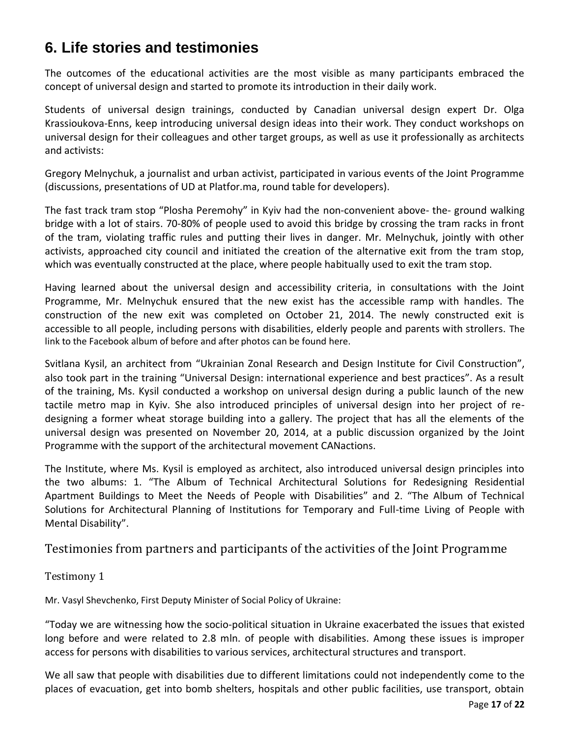# **6. Life stories and testimonies**

The outcomes of the educational activities are the most visible as many participants embraced the concept of universal design and started to promote its introduction in their daily work.

Students of universal design trainings, conducted by Canadian universal design expert Dr. Olga Krassioukova-Enns, keep introducing universal design ideas into their work. They conduct workshops on universal design for their colleagues and other target groups, as well as use it professionally as architects and activists:

Gregory Melnychuk, a journalist and urban activist, participated in various events of the Joint Programme (discussions, presentations of UD at Platfor.ma, round table for developers).

The fast track tram stop "Plosha Peremohy" in Kyiv had the non-convenient above- the- ground walking bridge with a lot of stairs. 70-80% of people used to avoid this bridge by crossing the tram racks in front of the tram, violating traffic rules and putting their lives in danger. Mr. Melnychuk, jointly with other activists, approached city council and initiated the creation of the alternative exit from the tram stop, which was eventually constructed at the place, where people habitually used to exit the tram stop.

Having learned about the universal design and accessibility criteria, in consultations with the Joint Programme, Mr. Melnychuk ensured that the new exist has the accessible ramp with handles. The construction of the new exit was completed on October 21, 2014. The newly constructed exit is accessible to all people, including persons with disabilities, elderly people and parents with strollers. [The](https://www.facebook.com/photo.php?fbid=831965920181223&set=pb.100001034693306.-2207520000.1414056548.&type=3&theaterhttps://www.facebook.com/photo.php?fbid=831965920181223&set=pb.100001034693306.-2207520000.1414056548.&type=3&theater)  [link to the Facebook album of before and after photos can be found here.](https://www.facebook.com/photo.php?fbid=831965920181223&set=pb.100001034693306.-2207520000.1414056548.&type=3&theaterhttps://www.facebook.com/photo.php?fbid=831965920181223&set=pb.100001034693306.-2207520000.1414056548.&type=3&theater)

Svitlana Kysil, an architect from "Ukrainian Zonal Research and Design Institute for Civil Construction", also took part in the training "Universal Design: international experience and best practices". As a result of the training, Ms. Kysil conducted a workshop on universal design during a public launch of the new tactile metro map in Kyiv. She also introduced principles of universal design into her project of redesigning a former wheat storage building into a gallery. The project that has all the elements of the universal design was presented on November 20, 2014, at a public discussion organized by the Joint Programme with the support of the architectural movement CANactions.

The Institute, where Ms. Kysil is employed as architect, also introduced universal design principles into the two albums: 1. "The Album of Technical Architectural Solutions for Redesigning Residential Apartment Buildings to Meet the Needs of People with Disabilities" and 2. "The Album of Technical Solutions for Architectural Planning of Institutions for Temporary and Full-time Living of People with Mental Disability".

Testimonies from partners and participants of the activities of the Joint Programme

Testimony 1

Mr. Vasyl Shevchenko, First Deputy Minister of Social Policy of Ukraine:

"Today we are witnessing how the socio-political situation in Ukraine exacerbated the issues that existed long before and were related to 2.8 mln. of people with disabilities. Among these issues is improper access for persons with disabilities to various services, architectural structures and transport.

We all saw that people with disabilities due to different limitations could not independently come to the places of evacuation, get into bomb shelters, hospitals and other public facilities, use transport, obtain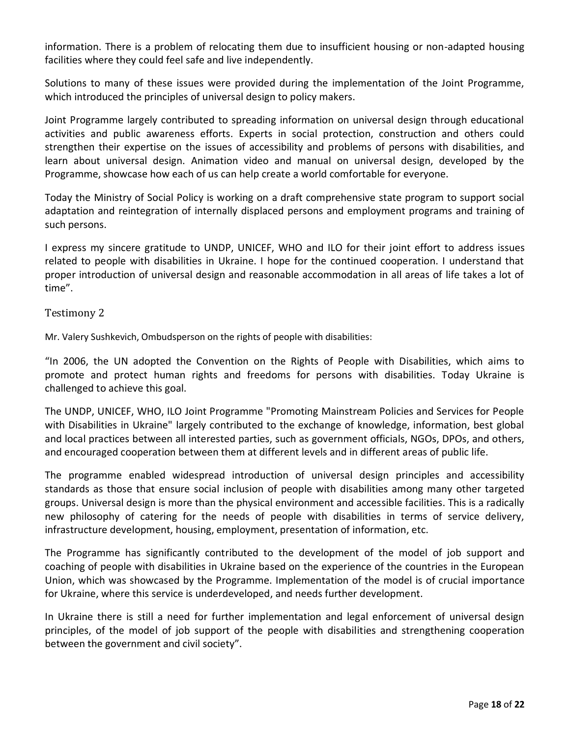information. There is a problem of relocating them due to insufficient housing or non-adapted housing facilities where they could feel safe and live independently.

Solutions to many of these issues were provided during the implementation of the Joint Programme, which introduced the principles of universal design to policy makers.

Joint Programme largely contributed to spreading information on universal design through educational activities and public awareness efforts. Experts in social protection, construction and others could strengthen their expertise on the issues of accessibility and problems of persons with disabilities, and learn about universal design. Animation video and manual on universal design, developed by the Programme, showcase how each of us can help create a world comfortable for everyone.

Today the Ministry of Social Policy is working on a draft comprehensive state program to support social adaptation and reintegration of internally displaced persons and employment programs and training of such persons.

I express my sincere gratitude to UNDP, UNICEF, WHO and ILO for their joint effort to address issues related to people with disabilities in Ukraine. I hope for the continued cooperation. I understand that proper introduction of universal design and reasonable accommodation in all areas of life takes a lot of time".

Testimony 2

Mr. Valery Sushkevich, Ombudsperson on the rights of people with disabilities:

"In 2006, the UN adopted the Convention on the Rights of People with Disabilities, which aims to promote and protect human rights and freedoms for persons with disabilities. Today Ukraine is challenged to achieve this goal.

The UNDP, UNICEF, WHO, ILO Joint Programme "Promoting Mainstream Policies and Services for People with Disabilities in Ukraine" largely contributed to the exchange of knowledge, information, best global and local practices between all interested parties, such as government officials, NGOs, DPOs, and others, and encouraged cooperation between them at different levels and in different areas of public life.

The programme enabled widespread introduction of universal design principles and accessibility standards as those that ensure social inclusion of people with disabilities among many other targeted groups. Universal design is more than the physical environment and accessible facilities. This is a radically new philosophy of catering for the needs of people with disabilities in terms of service delivery, infrastructure development, housing, employment, presentation of information, etc.

The Programme has significantly contributed to the development of the model of job support and coaching of people with disabilities in Ukraine based on the experience of the countries in the European Union, which was showcased by the Programme. Implementation of the model is of crucial importance for Ukraine, where this service is underdeveloped, and needs further development.

In Ukraine there is still a need for further implementation and legal enforcement of universal design principles, of the model of job support of the people with disabilities and strengthening cooperation between the government and civil society".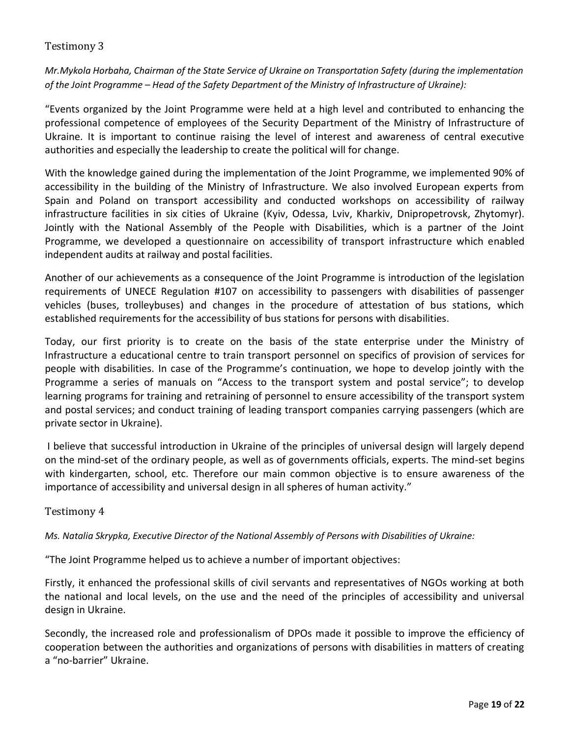### Testimony 3

*Mr.Mykola Horbaha, Chairman of the State Service of Ukraine on Transportation Safety (during the implementation of the Joint Programme – Head of the Safety Department of the Ministry of Infrastructure of Ukraine):* 

"Events organized by the Joint Programme were held at a high level and contributed to enhancing the professional competence of employees of the Security Department of the Ministry of Infrastructure of Ukraine. It is important to continue raising the level of interest and awareness of central executive authorities and especially the leadership to create the political will for change.

With the knowledge gained during the implementation of the Joint Programme, we implemented 90% of accessibility in the building of the Ministry of Infrastructure. We also involved European experts from Spain and Poland on transport accessibility and conducted workshops on accessibility of railway infrastructure facilities in six cities of Ukraine (Kyiv, Odessa, Lviv, Kharkiv, Dnipropetrovsk, Zhytomyr). Jointly with the National Assembly of the People with Disabilities, which is a partner of the Joint Programme, we developed a questionnaire on accessibility of transport infrastructure which enabled independent audits at railway and postal facilities.

Another of our achievements as a consequence of the Joint Programme is introduction of the legislation requirements of UNECE Regulation #107 on accessibility to passengers with disabilities of passenger vehicles (buses, trolleybuses) and changes in the procedure of attestation of bus stations, which established requirements for the accessibility of bus stations for persons with disabilities.

Today, our first priority is to create on the basis of the state enterprise under the Ministry of Infrastructure a educational centre to train transport personnel on specifics of provision of services for people with disabilities. In case of the Programme's continuation, we hope to develop jointly with the Programme a series of manuals on "Access to the transport system and postal service"; to develop learning programs for training and retraining of personnel to ensure accessibility of the transport system and postal services; and conduct training of leading transport companies carrying passengers (which are private sector in Ukraine).

 I believe that successful introduction in Ukraine of the principles of universal design will largely depend on the mind-set of the ordinary people, as well as of governments officials, experts. The mind-set begins with kindergarten, school, etc. Therefore our main common objective is to ensure awareness of the importance of accessibility and universal design in all spheres of human activity."

#### Testimony 4

*Ms. Natalia Skrypka, Executive Director of the National Assembly of Persons with Disabilities of Ukraine:* 

"The Joint Programme helped us to achieve a number of important objectives:

Firstly, it enhanced the professional skills of civil servants and representatives of NGOs working at both the national and local levels, on the use and the need of the principles of accessibility and universal design in Ukraine.

Secondly, the increased role and professionalism of DPOs made it possible to improve the efficiency of cooperation between the authorities and organizations of persons with disabilities in matters of creating a "no-barrier" Ukraine.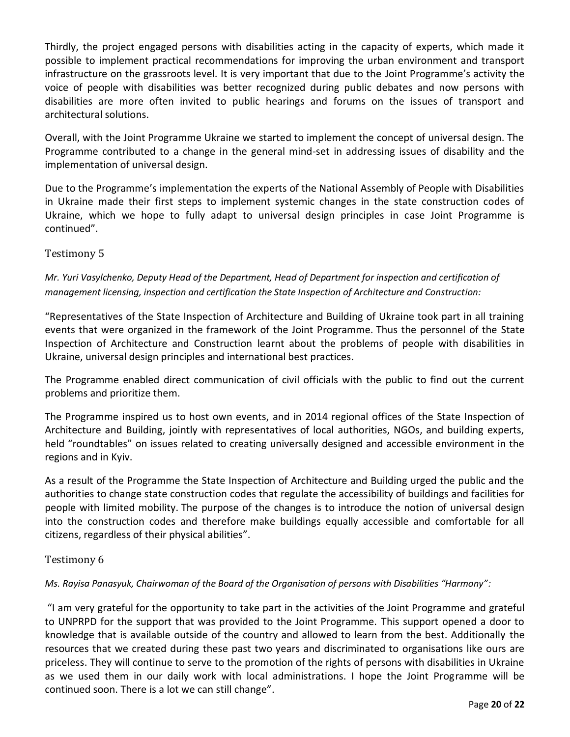Thirdly, the project engaged persons with disabilities acting in the capacity of experts, which made it possible to implement practical recommendations for improving the urban environment and transport infrastructure on the grassroots level. It is very important that due to the Joint Programme's activity the voice of people with disabilities was better recognized during public debates and now persons with disabilities are more often invited to public hearings and forums on the issues of transport and architectural solutions.

Overall, with the Joint Programme Ukraine we started to implement the concept of universal design. The Programme contributed to a change in the general mind-set in addressing issues of disability and the implementation of universal design.

Due to the Programme's implementation the experts of the National Assembly of People with Disabilities in Ukraine made their first steps to implement systemic changes in the state construction codes of Ukraine, which we hope to fully adapt to universal design principles in case Joint Programme is continued".

### Testimony 5

*Mr. Yuri Vasylchenko, Deputy Head of the Department, Head of Department for inspection and certification of management licensing, inspection and certification the State Inspection of Architecture and Construction:* 

"Representatives of the State Inspection of Architecture and Building of Ukraine took part in all training events that were organized in the framework of the Joint Programme. Thus the personnel of the State Inspection of Architecture and Construction learnt about the problems of people with disabilities in Ukraine, universal design principles and international best practices.

The Programme enabled direct communication of civil officials with the public to find out the current problems and prioritize them.

The Programme inspired us to host own events, and in 2014 regional offices of the State Inspection of Architecture and Building, jointly with representatives of local authorities, NGOs, and building experts, held "roundtables" on issues related to creating universally designed and accessible environment in the regions and in Kyiv.

As a result of the Programme the State Inspection of Architecture and Building urged the public and the authorities to change state construction codes that regulate the accessibility of buildings and facilities for people with limited mobility. The purpose of the changes is to introduce the notion of universal design into the construction codes and therefore make buildings equally accessible and comfortable for all citizens, regardless of their physical abilities".

#### Testimony 6

#### *Ms. Rayisa Panasyuk, Chairwoman of the Board of the Organisation of persons with Disabilities "Harmony":*

"I am very grateful for the opportunity to take part in the activities of the Joint Programme and grateful to UNPRPD for the support that was provided to the Joint Programme. This support opened a door to knowledge that is available outside of the country and allowed to learn from the best. Additionally the resources that we created during these past two years and discriminated to organisations like ours are priceless. They will continue to serve to the promotion of the rights of persons with disabilities in Ukraine as we used them in our daily work with local administrations. I hope the Joint Programme will be continued soon. There is a lot we can still change".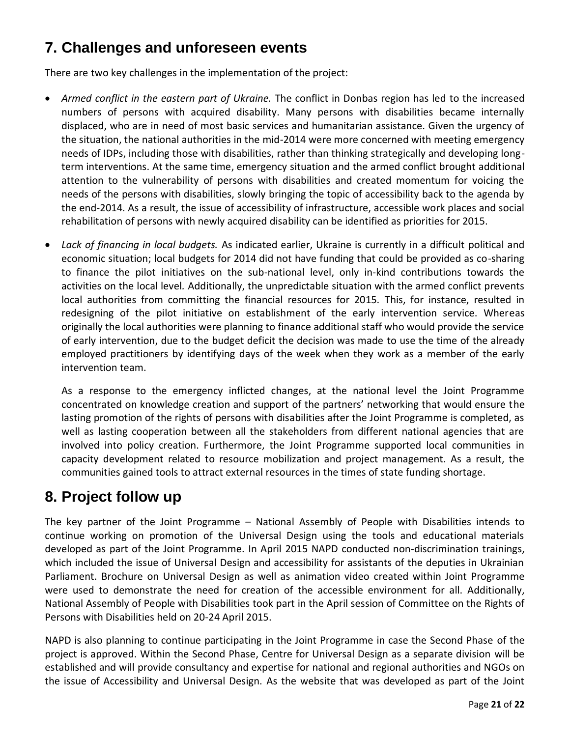# **7. Challenges and unforeseen events**

There are two key challenges in the implementation of the project:

- *Armed conflict in the eastern part of Ukraine.* The conflict in Donbas region has led to the increased numbers of persons with acquired disability. Many persons with disabilities became internally displaced, who are in need of most basic services and humanitarian assistance. Given the urgency of the situation, the national authorities in the mid-2014 were more concerned with meeting emergency needs of IDPs, including those with disabilities, rather than thinking strategically and developing longterm interventions. At the same time, emergency situation and the armed conflict brought additional attention to the vulnerability of persons with disabilities and created momentum for voicing the needs of the persons with disabilities, slowly bringing the topic of accessibility back to the agenda by the end-2014. As a result, the issue of accessibility of infrastructure, accessible work places and social rehabilitation of persons with newly acquired disability can be identified as priorities for 2015.
- *Lack of financing in local budgets.* As indicated earlier, Ukraine is currently in a difficult political and economic situation; local budgets for 2014 did not have funding that could be provided as co-sharing to finance the pilot initiatives on the sub-national level, only in-kind contributions towards the activities on the local level*.* Additionally, the unpredictable situation with the armed conflict prevents local authorities from committing the financial resources for 2015. This, for instance, resulted in redesigning of the pilot initiative on establishment of the early intervention service. Whereas originally the local authorities were planning to finance additional staff who would provide the service of early intervention, due to the budget deficit the decision was made to use the time of the already employed practitioners by identifying days of the week when they work as a member of the early intervention team.

As a response to the emergency inflicted changes, at the national level the Joint Programme concentrated on knowledge creation and support of the partners' networking that would ensure the lasting promotion of the rights of persons with disabilities after the Joint Programme is completed, as well as lasting cooperation between all the stakeholders from different national agencies that are involved into policy creation. Furthermore, the Joint Programme supported local communities in capacity development related to resource mobilization and project management. As a result, the communities gained tools to attract external resources in the times of state funding shortage.

# **8. Project follow up**

The key partner of the Joint Programme – National Assembly of People with Disabilities intends to continue working on promotion of the Universal Design using the tools and educational materials developed as part of the Joint Programme. In April 2015 NAPD conducted non-discrimination trainings, which included the issue of Universal Design and accessibility for assistants of the deputies in Ukrainian Parliament. Brochure on Universal Design as well as animation video created within Joint Programme were used to demonstrate the need for creation of the accessible environment for all. Additionally, National Assembly of People with Disabilities took part in the April session of Committee on the Rights of Persons with Disabilities held on 20-24 April 2015.

NAPD is also planning to continue participating in the Joint Programme in case the Second Phase of the project is approved. Within the Second Phase, Centre for Universal Design as a separate division will be established and will provide consultancy and expertise for national and regional authorities and NGOs on the issue of Accessibility and Universal Design. As the website that was developed as part of the Joint